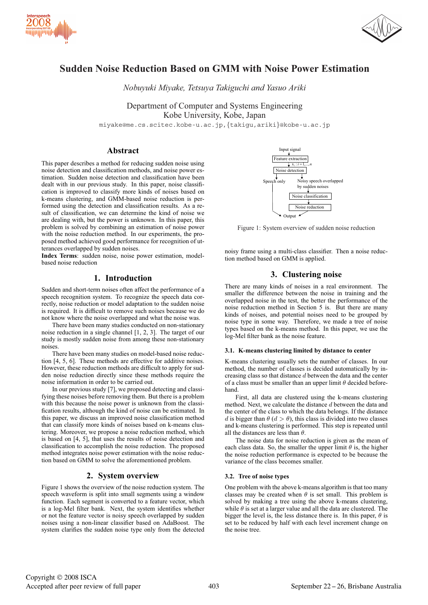



# **Sudden Noise Reduction Based on GMM with Noise Power Estimation**

*Nobuyuki Miyake, Tetsuya Takiguchi and Yasuo Ariki*

Department of Computer and Systems Engineering Kobe University, Kobe, Japan

miyake@me.cs.scitec.kobe-u.ac.jp,{takigu,ariki}@kobe-u.ac.jp

### **Abstract**

This paper describes a method for reducing sudden noise using noise detection and classification methods, and noise power estimation. Sudden noise detection and classification have been dealt with in our previous study. In this paper, noise classification is improved to classify more kinds of noises based on k-means clustering, and GMM-based noise reduction is performed using the detection and classification results. As a result of classification, we can determine the kind of noise we are dealing with, but the power is unknown. In this paper, this problem is solved by combining an estimation of noise power with the noise reduction method. In our experiments, the proposed method achieved good performance for recognition of utterances overlapped by sudden noises.

**Index Terms**: sudden noise, noise power estimation, modelbased noise reduction

# **1. Introduction**

Sudden and short-term noises often affect the performance of a speech recognition system. To recognize the speech data correctly, noise reduction or model adaptation to the sudden noise is required. It is difficult to remove such noises because we do not know where the noise overlapped and what the noise was.

There have been many studies conducted on non-stationary noise reduction in a single channel [1, 2, 3]. The target of our study is mostly sudden noise from among these non-stationary noises.

There have been many studies on model-based noise reduction [4, 5, 6]. These methods are effective for additive noises. However, these reduction methods are difficult to apply for sudden noise reduction directly since these methods require the noise information in order to be carried out.

In our previous study [7], we proposed detecting and classifying these noises before removing them. But there is a problem with this because the noise power is unknown from the classification results, although the kind of noise can be estimated. In this paper, we discuss an improved noise classification method that can classify more kinds of noises based on k-means clustering. Moreover, we propose a noise reduction method, which is based on [4, 5], that uses the results of noise detection and classification to accomplish the noise reduction. The proposed method integrates noise power estimation with the noise reduction based on GMM to solve the aforementioned problem.

### **2. System overview**

Figure 1 shows the overview of the noise reduction system. The speech waveform is split into small segments using a window function. Each segment is converted to a feature vector, which is a log-Mel filter bank. Next, the system identifies whether or not the feature vector is noisy speech overlapped by sudden noises using a non-linear classifier based on AdaBoost. The system clarifies the sudden noise type only from the detected



Figure 1: System overview of sudden noise reduction

noisy frame using a multi-class classifier. Then a noise reduction method based on GMM is applied.

### **3. Clustering noise**

There are many kinds of noises in a real environment. The smaller the difference between the noise in training and the overlapped noise in the test, the better the performance of the noise reduction method in Section 5 is. But there are many kinds of noises, and potential noises need to be grouped by noise type in some way. Therefore, we made a tree of noise types based on the k-means method. In this paper, we use the log-Mel filter bank as the noise feature.

#### **3.1. K-means clustering limited by distance to center**

K-means clustering usually sets the number of classes. In our method, the number of classes is decided automatically by increasing class so that distance d between the data and the center of a class must be smaller than an upper limit  $\theta$  decided beforehand.

First, all data are clustered using the k-means clustering method. Next, we calculate the distance d between the data and the center of the class to which the data belongs. If the distance d is bigger than  $\theta$  ( $d > \theta$ ), this class is divided into two classes and k-means clustering is performed. This step is repeated until all the distances are less than  $\theta$ .

The noise data for noise reduction is given as the mean of each class data. So, the smaller the upper limit  $\theta$  is, the higher the noise reduction performance is expected to be because the variance of the class becomes smaller.

#### **3.2. Tree of noise types**

One problem with the above k-means algorithm is that too many classes may be created when  $\theta$  is set small. This problem is solved by making a tree using the above k-means clustering, while  $\theta$  is set at a larger value and all the data are clustered. The bigger the level is, the less distance there is. In this paper,  $\theta$  is set to be reduced by half with each level increment change on the noise tree.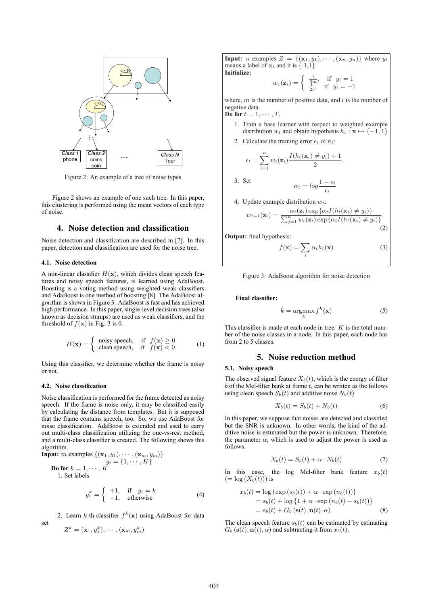

Figure 2: An example of a tree of noise types

Figure 2 shows an example of one such tree. In this paper, this clustering is performed using the mean vectors of each type of noise.

### **4. Noise detection and classification**

Noise detection and classification are described in [7]. In this paper, detection and classification are used for the noise tree.

### **4.1. Noise detection**

A non-linear classifier  $H(\mathbf{x})$ , which divides clean speech features and noisy speech features, is learned using AdaBoost. Boosting is a voting method using weighted weak classifiers and AdaBoost is one method of boosting [8]. The AdaBoost algorithm is shown in Figure 3. AdaBoost is fast and has achieved high performance. In this paper, single-level decision trees (also known as decision stumps) are used as weak classifiers, and the threshold of  $f(\mathbf{x})$  in Fig. 3 is 0.

$$
H(\mathbf{x}) = \begin{cases} \text{noisy speech}, & \text{if } f(\mathbf{x}) \ge 0\\ \text{clean speech}, & \text{if } f(\mathbf{x}) < 0 \end{cases} \tag{1}
$$

Using this classifier, we determine whether the frame is noisy or not.

#### **4.2. Noise classification**

set

Noise classification is performed for the frame detected as noisy speech. If the frame is noise only, it may be classified easily by calculating the distance from templates. But it is supposed that the frame contains speech, too. So, we use AdaBoost for noise classification. AdaBoost is extended and used to carry out multi-class classification utilizing the one-vs-rest method, and a multi-class classifier is created. The following shows this algorithm.<br>Input:  $m$ 

Input: *m* examples 
$$
\{(x_1, y_1), \dots, (x_m, y_m)\}
$$
  
\n
$$
y_i = \{1, \dots, K\}
$$
\nDo for  $k = 1, \dots, K$   
\n1. Set labels

$$
y_i^k = \begin{cases} +1, & \text{if } y_i = k \\ -1, & \text{otherwise} \end{cases}
$$
 (4)

2. Learn k-th classifier  $f^k(\mathbf{x})$  using AdaBoost for data

$$
Z^k = (\mathbf{x}_1, y_1^k), \cdots, (\mathbf{x}_m, y_m^k)
$$

**Input:** *n* examples  $Z = \{(\mathbf{x}_1, y_1), \cdots, (\mathbf{x}_n, y_n)\}\)$  where  $y_i$ means a label of  $x_i$  and it is  $\{-1,1\}$ **Initialize:**

$$
w_1(\mathbf{z}_i) = \begin{cases} \frac{1}{2m}, & \text{if } y_i = 1\\ \frac{1}{2l}, & \text{if } y_i = -1 \end{cases}
$$

where,  $m$  is the number of positive data, and  $l$  is the number of negative data. **Do for**  $t = 1, \dots, T$ ,

- 1. Train a base learner with respect to weighted example distribution  $w_t$  and obtain hypothesis  $h_t : \mathbf{x} \mapsto \{-1, 1\}$
- 2. Calculate the training error  $\epsilon_t$  of  $h_t$ :

$$
\epsilon_t = \sum_{i=1}^n w_t(\mathbf{z}_i) \frac{I(h_t(\mathbf{x}_i) \neq y_i) + 1}{2}.
$$

3. Set 
$$
\alpha_t = \log \frac{1 - \epsilon_t}{\epsilon_t}
$$
  
4. Update example distribution  $w_t$ :  

$$
w_t(\mathbf{z}_i) \exp{\alpha_t I(h_t(\mathbf{x}_i) \neq y_i)}
$$

$$
w_{t+1}(\mathbf{z}_i) = \frac{w_t(\mathbf{z}_i) \exp\{\alpha_t I(h_t(\mathbf{x}_i) \neq y_i)\}}{\sum_{j=1}^n w_t(\mathbf{z}_i) \exp\{\alpha_t I(h_t(\mathbf{x}_i) \neq y_i)\}}.
$$
\n(2)

**Output:** final hypothesis:

$$
f(\mathbf{x}) = \sum_{t} \alpha_t h_t(\mathbf{x})
$$
 (3)

Figure 3: AdaBoost algorithm for noise detection

#### **Final classifier:**

$$
\hat{k} = \underset{k}{\operatorname{argmax}} f^k(\mathbf{x})
$$
\n(5)

This classifier is made at each node in tree.  $K$  is the total number of the noise classes in a node. In this paper, each node has from 2 to 5 classes.

# **5. Noise reduction method**

#### **5.1. Noisy speech**

The observed signal feature  $X_b(t)$ , which is the energy of filter  $b$  of the Mel-filter bank at frame  $t$ , can be written as the follows using clean speech  $S_b(t)$  and additive noise  $N_b(t)$ 

$$
X_b(t) = S_b(t) + N_b(t)
$$
\n<sup>(6)</sup>

In this paper, we suppose that noises are detected and classified but the SNR is unknown. In other words, the kind of the additive noise is estimated but the power is unknown. Therefore, the parameter  $\alpha$ , which is used to adjust the power is used as follows.

$$
X_b(t) = S_b(t) + \alpha \cdot N_b(t) \tag{7}
$$

In this case, the log Mel-filter bank feature  $x<sub>b</sub>(t)$  $(=\log(X_b(t)))$  is

$$
x_b(t) = \log \{ \exp (s_b(t)) + \alpha \cdot \exp (n_b(t)) \}
$$
  
=  $s_b(t) + \log \{ 1 + \alpha \cdot \exp (n_b(t) - s_b(t)) \}$   
=  $s_b(t) + G_b (\mathbf{s}(t), \mathbf{n}(t), \alpha)$  (8)

The clean speech feature  $s<sub>b</sub>(t)$  can be estimated by estimating  $G_b$  (**s**(*t*),  $\mathbf{n}(t)$ ,  $\alpha$ ) and subtracting it from  $x_b(t)$ .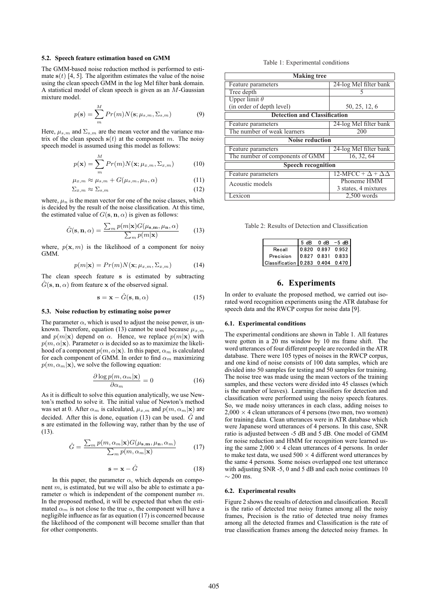### **5.2. Speech feature estimation based on GMM**

The GMM-based noise reduction method is performed to estimate  $s(t)$  [4, 5]. The algorithm estimates the value of the noise using the clean speech GMM in the log Mel filter bank domain. A statistical model of clean speech is given as an  $M$ -Gaussian mixture model.

$$
p(\mathbf{s}) = \sum_{m}^{M} Pr(m)N(\mathbf{s}; \mu_{s,m}, \Sigma_{s,m})
$$
(9)

Here,  $\mu_{s,m}$  and  $\Sigma_{s,m}$  are the mean vector and the variance matrix of the clean speech  $s(t)$  at the component m. The noisy speech model is assumed using this model as follows:

$$
p(\mathbf{x}) = \sum_{m}^{M} Pr(m)N(\mathbf{x}; \mu_{x,m}, \Sigma_{x,m})
$$
 (10)

$$
\mu_{x,m} \approx \mu_{s,m} + G(\mu_{s,m}, \mu_n, \alpha) \tag{11}
$$

$$
\Sigma_{x,m} \approx \Sigma_{s,m} \tag{12}
$$

where,  $\mu_n$  is the mean vector for one of the noise classes, which is decided by the result of the noise classification. At this time, the estimated value of  $G$ (**s**, **n**,  $\alpha$ ) is given as follows:

$$
\hat{G}(\mathbf{s}, \mathbf{n}, \alpha) = \frac{\sum_{m} p(m|\mathbf{x}) G(\mu_{\mathbf{s}, \mathbf{m}}, \mu_{\mathbf{n}}, \alpha)}{\sum_{m} p(m|\mathbf{x})}
$$
(13)

where,  $p(\mathbf{x}, m)$  is the likelihood of a component for noisy GMM.

$$
p(m|\mathbf{x}) = Pr(m)N(\mathbf{x}; \mu_{x,m}, \Sigma_{x,m})
$$
 (14)

The clean speech feature **s** is estimated by subtracting  $G(\mathbf{s}, \mathbf{n}, \alpha)$  from feature **x** of the observed signal.

$$
\mathbf{s} = \mathbf{x} - \hat{G}(\mathbf{s}, \mathbf{n}, \alpha) \tag{15}
$$

#### **5.3. Noise reduction by estimating noise power**

The parameter  $\alpha$ , which is used to adjust the noise power, is unknown. Therefore, equation (13) cannot be used because  $\mu_{x,m}$ and  $p(m|\mathbf{x})$  depend on  $\alpha$ . Hence, we replace  $p(m|\mathbf{x})$  with  $p(m, \alpha | \mathbf{x})$ . Parameter  $\alpha$  is decided so as to maximize the likelihood of a component  $p(m, \alpha | \mathbf{x})$ . In this paper,  $\alpha_m$  is calculated for each component of GMM. In order to find  $\alpha_m$  maximizing  $p(m, \alpha_m|\mathbf{x})$ , we solve the following equation:

$$
\frac{\partial \log p(m, \alpha_m | \mathbf{x})}{\partial \alpha_m} = 0 \tag{16}
$$

As it is difficult to solve this equation analytically, we use Newton's method to solve it. The initial value of Newton's method was set at 0. After  $\alpha_m$  is calculated,  $\mu_{x,m}$  and  $p(m, \alpha_m|\mathbf{x})$  are decided. After this is done, equation (13) can be used.  $\hat{G}$  and **s** are estimated in the following way, rather than by the use of (13).

$$
\hat{G} = \frac{\sum_{m} p(m, \alpha_m | \mathbf{x}) G(\mu_{\mathbf{s}, \mathbf{m}}, \mu_{\mathbf{n}}, \alpha_m)}{\sum_{m} p(m, \alpha_m | \mathbf{x})}
$$
(17)

$$
\mathbf{s} = \mathbf{x} - \hat{G} \tag{18}
$$

In this paper, the parameter  $\alpha$ , which depends on component m, is estimated, but we will also be able to estimate a parameter  $\alpha$  which is independent of the component number m. In the proposed method, it will be expected that when the estimated  $\alpha_m$  is not close to the true  $\alpha$ , the component will have a negligible influence as far as equation (17) is concerned because the likelihood of the component will become smaller than that for other components.

#### Table 1: Experimental conditions

| <b>Making tree</b>                  |                                   |  |  |  |  |
|-------------------------------------|-----------------------------------|--|--|--|--|
| Feature parameters                  | 24-log Mel filter bank            |  |  |  |  |
| Tree depth                          |                                   |  |  |  |  |
| Upper limit $\theta$                |                                   |  |  |  |  |
| (in order of depth level)           | 50, 25, 12, 6                     |  |  |  |  |
| <b>Detection and Classification</b> |                                   |  |  |  |  |
| Feature parameters                  | 24-log Mel filter bank            |  |  |  |  |
| The number of weak learners         | 200                               |  |  |  |  |
| <b>Noise reduction</b>              |                                   |  |  |  |  |
| Feature parameters                  | 24-log Mel filter bank            |  |  |  |  |
| The number of components of GMM     | $\overline{16, 32, 64}$           |  |  |  |  |
| <b>Speech recognition</b>           |                                   |  |  |  |  |
| Feature parameters                  | $12-MFCC + \Delta + \Delta\Delta$ |  |  |  |  |
| Acoustic models                     | Phoneme HMM                       |  |  |  |  |
|                                     | 3 states, 4 mixtures              |  |  |  |  |
| Lexicon                             | $2,500$ words                     |  |  |  |  |

Table 2: Results of Detection and Classification

|                                  | 5 dB | $0$ dB $-5$ dB    |
|----------------------------------|------|-------------------|
| Recall                           |      | 0.820 0.897 0.952 |
| Precision                        |      | 0.827 0.831 0.833 |
| Classification 0.283 0.404 0.470 |      |                   |

# **6. Experiments**

In order to evaluate the proposed method, we carried out isorated word recognition experiments using the ATR database for speech data and the RWCP corpus for noise data [9].

#### **6.1. Experimental conditions**

The experimental conditions are shown in Table 1. All features were gotten in a 20 ms window by 10 ms frame shift. The word utterances of four different people are recorded in the ATR database. There were 105 types of noises in the RWCP corpus, and one kind of noise consists of 100 data samples, which are divided into 50 samples for testing and 50 samples for training. The noise tree was made using the mean vectors of the training samples, and these vectors were divided into 45 classes (which is the number of leaves). Learning classifiers for detection and classification were performed using the noisy speech features. So, we made noisy utterances in each class, adding noises to  $2,000 \times 4$  clean utterances of 4 persons (two men, two women) for training data. Clean utterances were in ATR database which were Japanese word utterances of 4 persons. In this case, SNR ratio is adjusted between -5 dB and 5 dB. One model of GMM for noise reduction and HMM for recognition were learned using the same  $2.000 \times 4$  clean utterances of 4 persons. In order to make test data, we used  $500 \times 4$  different word utterances by the same 4 persons. Some noises overlapped one test utterance with adjusting SNR -5, 0 and 5 dB and each noise continues 10  $\sim$  200 ms.

#### **6.2. Experimental results**

Figure 2 shows the results of detection and classification. Recall is the ratio of detected true noisy frames among all the noisy frames, Precision is the ratio of detected true noisy frames among all the detected frames and Classification is the rate of true classification frames among the detected noisy frames. In